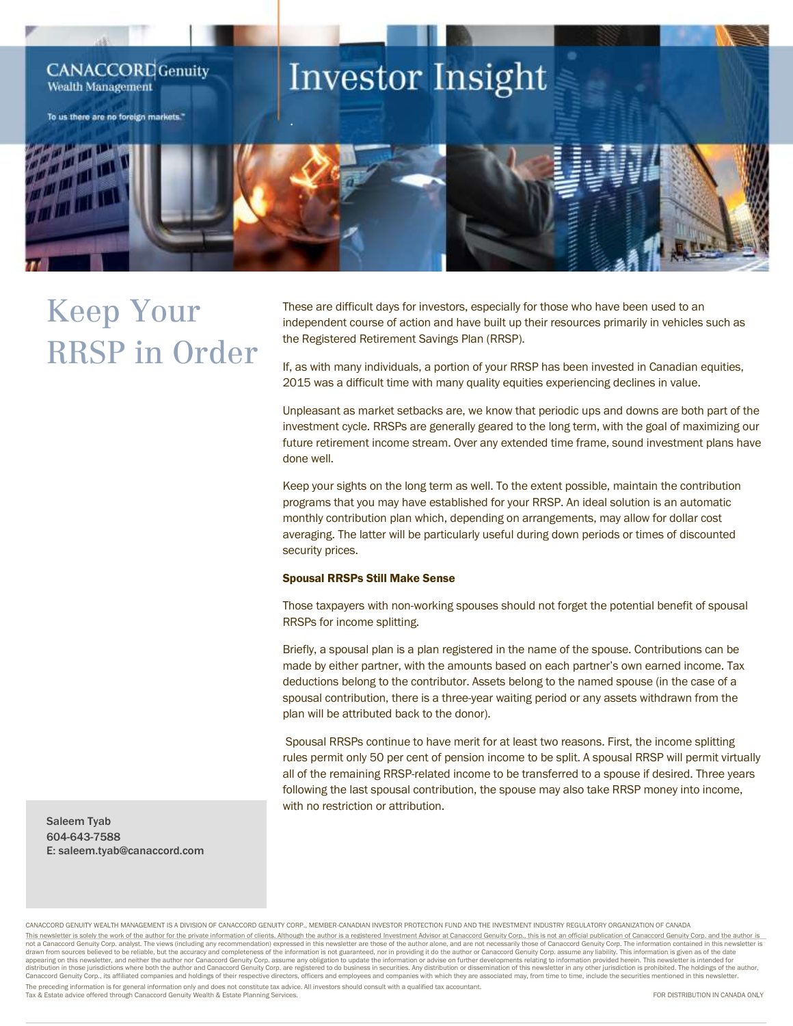

## Keep Your RRSP in Order

These are difficult days for investors, especially for those who have been used to an independent course of action and have built up their resources primarily in vehicles such as the Registered Retirement Savings Plan (RRSP).

If, as with many individuals, a portion of your RRSP has been invested in Canadian equities, 2015 was a difficult time with many quality equities experiencing declines in value.

Unpleasant as market setbacks are, we know that periodic ups and downs are both part of the investment cycle. RRSPs are generally geared to the long term, with the goal of maximizing our future retirement income stream. Over any extended time frame, sound investment plans have done well.

Keep your sights on the long term as well. To the extent possible, maintain the contribution programs that you may have established for your RRSP. An ideal solution is an automatic monthly contribution plan which, depending on arrangements, may allow for dollar cost averaging. The latter will be particularly useful during down periods or times of discounted security prices.

## Spousal RRSPs Still Make Sense

Those taxpayers with non-working spouses should not forget the potential benefit of spousal RRSPs for income splitting.

Briefly, a spousal plan is a plan registered in the name of the spouse. Contributions can be made by either partner, with the amounts based on each partner's own earned income. Tax deductions belong to the contributor. Assets belong to the named spouse (in the case of a spousal contribution, there is a three-year waiting period or any assets withdrawn from the plan will be attributed back to the donor).

Spousal RRSPs continue to have merit for at least two reasons. First, the income splitting rules permit only 50 per cent of pension income to be split. A spousal RRSP will permit virtually all of the remaining RRSP-related income to be transferred to a spouse if desired. Three years following the last spousal contribution, the spouse may also take RRSP money into income, with no restriction or attribution.

Saleem Tyab 604-643-7588 E: saleem.tyab@canaccord.com

CANACCORD GENUITY WEALTH MANAGEMENT IS A DIVISION OF CANACCORD GENUITY CORP., MEMBER-CANADIAN INVESTOR PROTECTION FUND AND THE INVESTMENT INDUSTRY REGULATORY ORGANIZATION OF CANADA This newsletter is solely the work of the author for the private information of clients. Although the author is a registered Investment Advisor at Canaccord Genuity Corp., this is not an official publication of Canaccord G appearing on this newsletter, and neither the author nor Canaccord Genuity Corp. assume any obligation to update the information or advise on further developments relating to information provided herein. This newsletter is Canaccord Genuity Corp., its affiliated companies and holdings of their respective directors, officers and employees and companies with which they are associated may, from time to time, include the securities mentioned in The preceding information is for general information only and does not constitute tax advice. All investors should consult with a qualified tax accountant. Tax & Estate advice offered through Canaccord Genuity Wealth & Estate Planning Services. FOR DISTRIBUTION IN CANADA ONLY